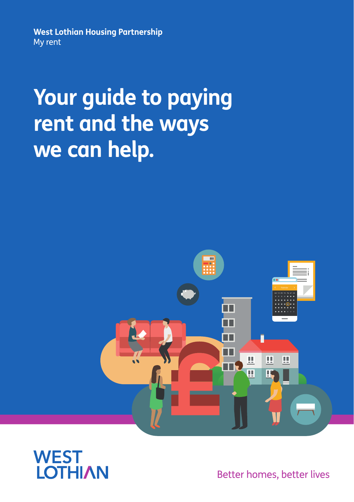**West Lothian Housing Partnership** My rent

# **Your guide to paying rent and the ways we can help.**





Better homes, better lives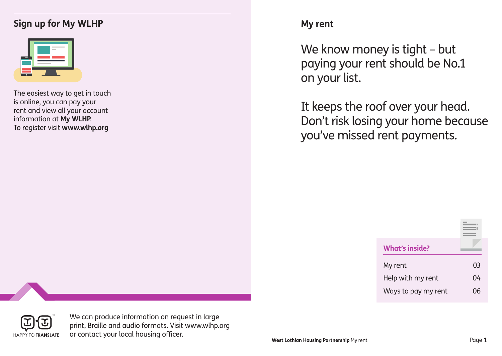## **Sign up for My WLHP**

| $\bullet$                | <b>Contract Contract</b>          |
|--------------------------|-----------------------------------|
|                          | $\sim$                            |
| <b>Contract Contract</b> | the control of the control of the |
|                          |                                   |

The easiest way to get in touch is online, you can pay your rent and view all your account information at **My WLHP**. To register visit **www.wlhp.org**

## **My rent**

We know money is tight – but paying your rent should be No.1 on your list.

It keeps the roof over your head. Don't risk losing your home because you've missed rent payments.

| <b>What's inside?</b> |     |
|-----------------------|-----|
| My rent               | 03  |
| Help with my rent     | 04  |
| Ways to pay my rent   | ៸េក |



We can produce information on request in large print, Braille and audio formats. Visit www.wlhp.org or contact your local housing officer.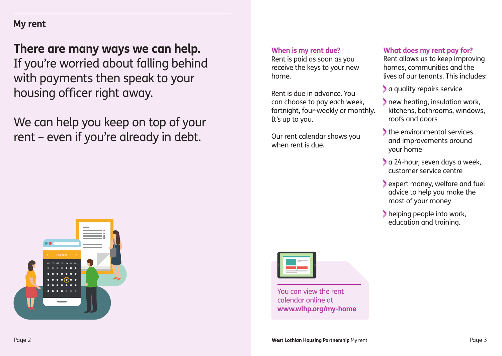## **My rent**

## **There are many ways we can help.** If you're worried about falling behind with payments then speak to your housing officer right away.

We can help you keep on top of your rent – even if you're already in debt.

#### **When is my rent due?**

Rent is paid as soon as you receive the keys to your new home.

Rent is due in advance. You can choose to pay each week, fortnight, four-weekly or monthly. It's up to you.

Our rent calendar shows you when rent is due.

#### **What does my rent pay for?**

Rent allows us to keep improving homes, communities and the lives of our tenants. This includes:

- a quality repairs service
- new heating, insulation work, kitchens, bathrooms, windows, roofs and doors
- the environmental services and improvements around your home
- a 24-hour, seven days a week, customer service centre
- expert money, welfare and fuel advice to help you make the most of your money
- helping people into work, education and training.





You can view the rent calendar online at **www.wlhp.org/my-home**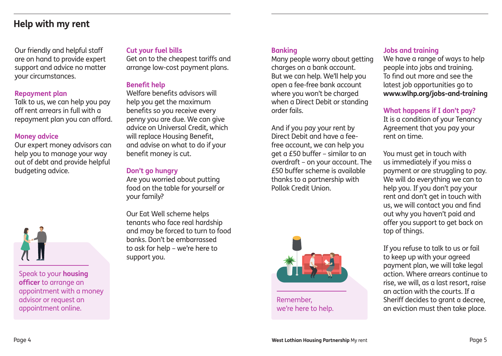### **Help with my rent**

Our friendly and helpful staff are on hand to provide expert support and advice no matter your circumstances.

#### **Repayment plan**

Talk to us, we can help you pay off rent arrears in full with a repayment plan you can afford.

#### **Money advice**

Our expert money advisors can help you to manage your way out of debt and provide helpful budgeting advice.



Speak to your **housing officer** to arrange an appointment with a money advisor or request an appointment online.

#### **Cut your fuel bills**

Get on to the cheapest tariffs and arrange low-cost payment plans.

#### **Benefit help**

Welfare benefits advisors will help you get the maximum benefits so you receive every penny you are due. We can give advice on Universal Credit, which will replace Housing Benefit, and advise on what to do if your benefit money is cut.

#### **Don't go hungry**

Are you worried about putting food on the table for yourself or your family?

Our Eat Well scheme helps tenants who face real hardship and may be forced to turn to food banks. Don't be embarrassed to ask for help – we're here to support you.

#### **Banking**

Many people worry about getting charges on a bank account. But we can help. We'll help you open a fee-free bank account where you won't be charged when a Direct Debit or standing order fails.

And if you pay your rent by Direct Debit and have a feefree account, we can help you get a £50 buffer – similar to an overdraft – on your account. The £50 buffer scheme is available thanks to a partnership with Pollok Credit Union.



Remember, we're here to help.

#### **Jobs and training**

We have a range of ways to help people into jobs and training. To find out more and see the latest job opportunities go to **www.wlhp.org/jobs-and-training**

#### **What happens if I don't pay?**

It is a condition of your Tenancy Agreement that you pay your rent on time.

You must get in touch with us immediately if you miss a payment or are struggling to pay. We will do everything we can to help you. If you don't pay your rent and don't get in touch with us, we will contact you and find out why you haven't paid and offer you support to get back on top of things.

If you refuse to talk to us or fail to keep up with your agreed payment plan, we will take legal action. Where arrears continue to rise, we will, as a last resort, raise an action with the courts. If a Sheriff decides to grant a decree, an eviction must then take place.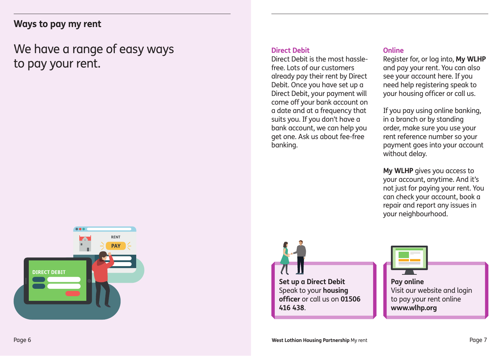### **Ways to pay my rent**

## We have a range of easy ways to pay your rent.

#### **Direct Debit**

Direct Debit is the most hasslefree. Lots of our customers already pay their rent by Direct Debit. Once you have set up a Direct Debit, your payment will come off your bank account on a date and at a frequency that suits you. If you don't have a bank account, we can help you get one. Ask us about fee-free banking.

#### **Online**

Register for, or log into, **My WLHP** and pay your rent. You can also see your account here. If you need help registering speak to your housing officer or call us.

If you pay using online banking, in a branch or by standing order, make sure you use your rent reference number so your payment goes into your account without delay.

**My WLHP** gives you access to your account, anytime. And it's not just for paying your rent. You can check your account, book a repair and report any issues in your neighbourhood.



**Set up a Direct Debit**  Speak to your **housing officer** or call us on **01506 416 438**.



Visit our website and login to pay your rent online **www.wlhp.org**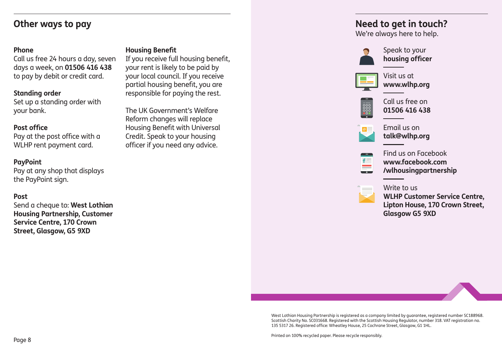## **Other ways to pay**

#### **Phone**

Call us free 24 hours a day, seven days a week, on **01506 416 438** to pay by debit or credit card.

#### **Standing order**

Set up a standing order with your bank.

#### **Post office**

Pay at the post office with a WLHP rent payment card.

#### **PayPoint**

Pay at any shop that displays the PayPoint sign.

#### **Post**

Send a cheque to: **West Lothian Housing Partnership, Customer Service Centre, 170 Crown Street, Glasgow, G5 9XD**

#### **Housing Benefit**

If you receive full housing benefit, your rent is likely to be paid by your local council. If you receive partial housing benefit, you are responsible for paying the rest.

The UK Government's Welfare Reform changes will replace Housing Benefit with Universal Credit. Speak to your housing officer if you need any advice.

## **Need to get in touch?**

We're always here to help.



Speak to your **housing officer**



Visit us at **www.wlhp.org**



Call us free on **01506 416 438**



Email us on **talk@wlhp.org**



Find us on Facebook **www.facebook.com /wlhousingpartnership**



**WLHP Customer Service Centre, Lipton House, 170 Crown Street, Glasgow G5 9XD**



Printed on 100% recycled paper. Please recycle responsibly.